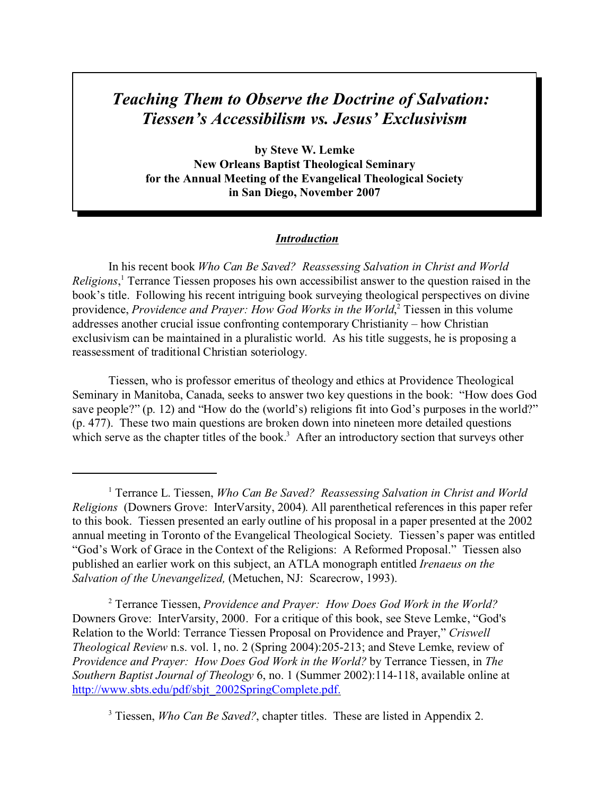# *Teaching Them to Observe the Doctrine of Salvation: Tiessen's Accessibilism vs. Jesus' Exclusivism*

**by Steve W. Lemke New Orleans Baptist Theological Seminary for the Annual Meeting of the Evangelical Theological Society in San Diego, November 2007**

# *Introduction*

In his recent book *Who Can Be Saved? Reassessing Salvation in Christ and World Religions*, 1 Terrance Tiessen proposes his own accessibilist answer to the question raised in the book's title. Following his recent intriguing book surveying theological perspectives on divine providence, *Providence and Prayer: How God Works in the World*,<sup>2</sup> Tiessen in this volume addresses another crucial issue confronting contemporary Christianity – how Christian exclusivism can be maintained in a pluralistic world. As his title suggests, he is proposing a reassessment of traditional Christian soteriology.

Tiessen, who is professor emeritus of theology and ethics at Providence Theological Seminary in Manitoba, Canada, seeks to answer two key questions in the book: "How does God save people?" (p. 12) and "How do the (world's) religions fit into God's purposes in the world?" (p. 477). These two main questions are broken down into nineteen more detailed questions which serve as the chapter titles of the book.<sup>3</sup> After an introductory section that surveys other

2 Terrance Tiessen, *Providence and Prayer: How Does God Work in the World?* Downers Grove: InterVarsity, 2000. For a critique of this book, see Steve Lemke, "God's Relation to the World: Terrance Tiessen Proposal on Providence and Prayer," *Criswell Theological Review* n.s. vol. 1, no. 2 (Spring 2004):205-213; and Steve Lemke, review of *Providence and Prayer: How Does God Work in the World?* by Terrance Tiessen, in *The Southern Baptist Journal of Theology* 6, no. 1 (Summer 2002):114-118, available online at [http://www.sbts.edu/pdf/sbjt\\_2002SpringComplete.pdf.](http://www.sbts.edu/pdf/sbjt_2002SpringComplete.pdf)

<sup>3</sup> Tiessen, *Who Can Be Saved?*, chapter titles. These are listed in Appendix 2.

<sup>&</sup>lt;sup>1</sup> Terrance L. Tiessen, *Who Can Be Saved? Reassessing Salvation in Christ and World Religions* (Downers Grove: InterVarsity, 2004). All parenthetical references in this paper refer to this book. Tiessen presented an early outline of his proposal in a paper presented at the 2002 annual meeting in Toronto of the Evangelical Theological Society. Tiessen's paper was entitled "God's Work of Grace in the Context of the Religions: A Reformed Proposal." Tiessen also published an earlier work on this subject, an ATLA monograph entitled *Irenaeus on the Salvation of the Unevangelized,* (Metuchen, NJ: Scarecrow, 1993).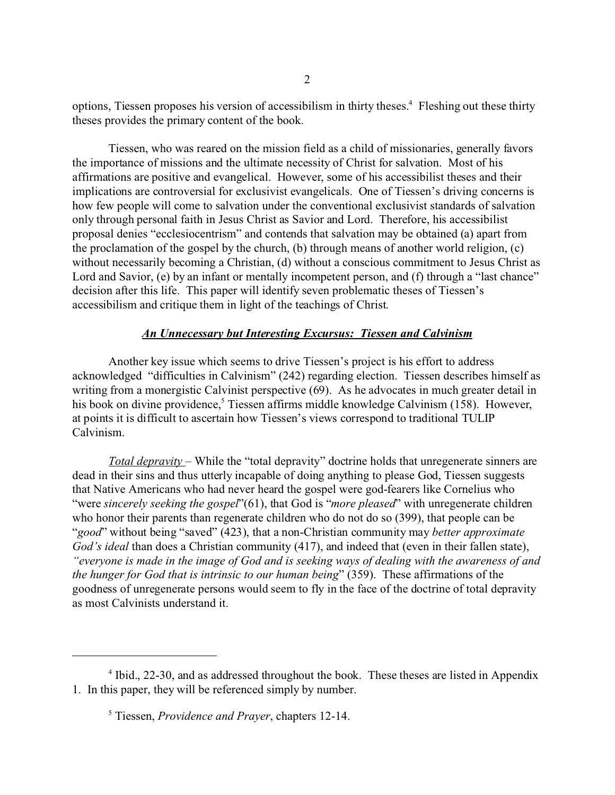options, Tiessen proposes his version of accessibilism in thirty theses.<sup>4</sup> Fleshing out these thirty theses provides the primary content of the book.

Tiessen, who was reared on the mission field as a child of missionaries, generally favors the importance of missions and the ultimate necessity of Christ for salvation. Most of his affirmations are positive and evangelical. However, some of his accessibilist theses and their implications are controversial for exclusivist evangelicals. One of Tiessen's driving concerns is how few people will come to salvation under the conventional exclusivist standards of salvation only through personal faith in Jesus Christ as Savior and Lord. Therefore, his accessibilist proposal denies "ecclesiocentrism" and contends that salvation may be obtained (a) apart from the proclamation of the gospel by the church, (b) through means of another world religion, (c) without necessarily becoming a Christian, (d) without a conscious commitment to Jesus Christ as Lord and Savior, (e) by an infant or mentally incompetent person, and (f) through a "last chance" decision after this life. This paper will identify seven problematic theses of Tiessen's accessibilism and critique them in light of the teachings of Christ.

## *An Unnecessary but Interesting Excursus: Tiessen and Calvinism*

Another key issue which seems to drive Tiessen's project is his effort to address acknowledged "difficulties in Calvinism" (242) regarding election. Tiessen describes himself as writing from a monergistic Calvinist perspective (69). As he advocates in much greater detail in his book on divine providence,<sup>5</sup> Tiessen affirms middle knowledge Calvinism (158). However, at points it is difficult to ascertain how Tiessen's views correspond to traditional TULIP Calvinism.

*Total depravity* – While the "total depravity" doctrine holds that unregenerate sinners are dead in their sins and thus utterly incapable of doing anything to please God, Tiessen suggests that Native Americans who had never heard the gospel were god-fearers like Cornelius who "were *sincerely seeking the gospel*"(61), that God is "*more pleased*" with unregenerate children who honor their parents than regenerate children who do not do so (399), that people can be "*good*" without being "saved" (423), that a non-Christian community may *better approximate God's ideal* than does a Christian community (417), and indeed that (even in their fallen state), *"everyone is made in the image of God and is seeking ways of dealing with the awareness of and the hunger for God that is intrinsic to our human being*" (359). These affirmations of the goodness of unregenerate persons would seem to fly in the face of the doctrine of total depravity as most Calvinists understand it.

<sup>&</sup>lt;sup>4</sup> Ibid., 22-30, and as addressed throughout the book. These theses are listed in Appendix 1. In this paper, they will be referenced simply by number.

<sup>5</sup> Tiessen, *Providence and Prayer*, chapters 12-14.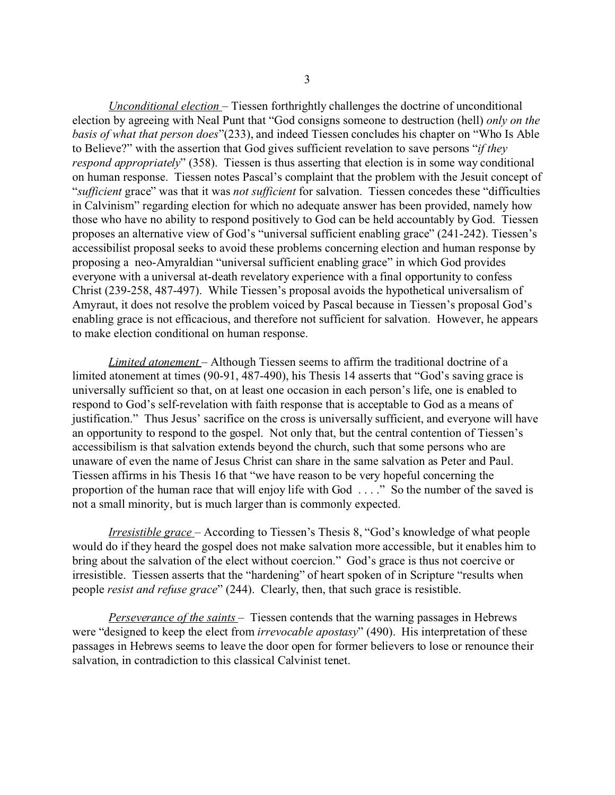*Unconditional election* – Tiessen forthrightly challenges the doctrine of unconditional election by agreeing with Neal Punt that "God consigns someone to destruction (hell) *only on the basis of what that person does*"(233), and indeed Tiessen concludes his chapter on "Who Is Able to Believe?" with the assertion that God gives sufficient revelation to save persons "*if they respond appropriately*" (358). Tiessen is thus asserting that election is in some way conditional on human response. Tiessen notes Pascal's complaint that the problem with the Jesuit concept of "*sufficient* grace" was that it was *not sufficient* for salvation. Tiessen concedes these "difficulties in Calvinism" regarding election for which no adequate answer has been provided, namely how those who have no ability to respond positively to God can be held accountably by God. Tiessen proposes an alternative view of God's "universal sufficient enabling grace" (241-242). Tiessen's accessibilist proposal seeks to avoid these problems concerning election and human response by proposing a neo-Amyraldian "universal sufficient enabling grace" in which God provides everyone with a universal at-death revelatory experience with a final opportunity to confess Christ (239-258, 487-497). While Tiessen's proposal avoids the hypothetical universalism of Amyraut, it does not resolve the problem voiced by Pascal because in Tiessen's proposal God's enabling grace is not efficacious, and therefore not sufficient for salvation. However, he appears to make election conditional on human response.

*Limited atonement* – Although Tiessen seems to affirm the traditional doctrine of a limited atonement at times (90-91, 487-490), his Thesis 14 asserts that "God's saving grace is universally sufficient so that, on at least one occasion in each person's life, one is enabled to respond to God's self-revelation with faith response that is acceptable to God as a means of justification." Thus Jesus' sacrifice on the cross is universally sufficient, and everyone will have an opportunity to respond to the gospel. Not only that, but the central contention of Tiessen's accessibilism is that salvation extends beyond the church, such that some persons who are unaware of even the name of Jesus Christ can share in the same salvation as Peter and Paul. Tiessen affirms in his Thesis 16 that "we have reason to be very hopeful concerning the proportion of the human race that will enjoy life with God . . . ." So the number of the saved is not a small minority, but is much larger than is commonly expected.

*Irresistible grace* – According to Tiessen's Thesis 8, "God's knowledge of what people would do if they heard the gospel does not make salvation more accessible, but it enables him to bring about the salvation of the elect without coercion." God's grace is thus not coercive or irresistible. Tiessen asserts that the "hardening" of heart spoken of in Scripture "results when people *resist and refuse grace*" (244). Clearly, then, that such grace is resistible.

*Perseverance of the saints* – Tiessen contends that the warning passages in Hebrews were "designed to keep the elect from *irrevocable apostasy*" (490). His interpretation of these passages in Hebrews seems to leave the door open for former believers to lose or renounce their salvation, in contradiction to this classical Calvinist tenet.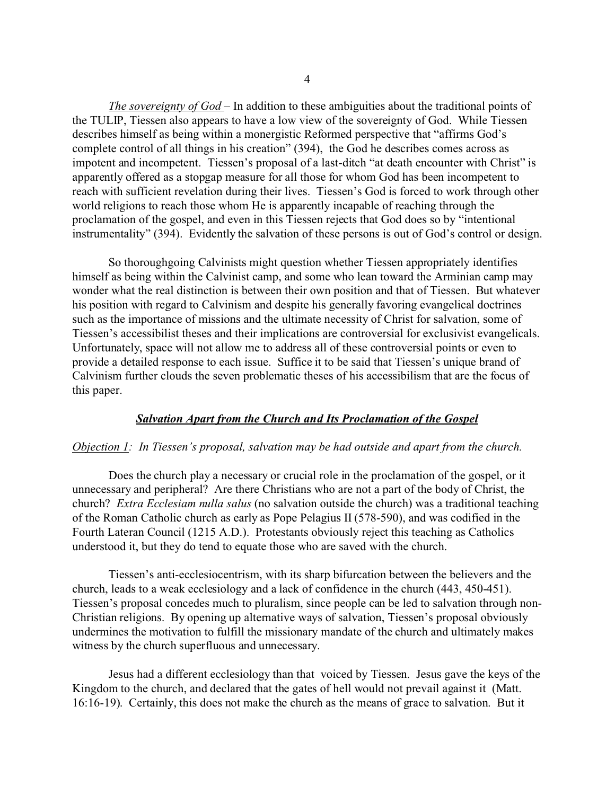*The sovereignty of God* – In addition to these ambiguities about the traditional points of the TULIP, Tiessen also appears to have a low view of the sovereignty of God. While Tiessen describes himself as being within a monergistic Reformed perspective that "affirms God's complete control of all things in his creation" (394), the God he describes comes across as impotent and incompetent. Tiessen's proposal of a last-ditch "at death encounter with Christ" is apparently offered as a stopgap measure for all those for whom God has been incompetent to reach with sufficient revelation during their lives. Tiessen's God is forced to work through other world religions to reach those whom He is apparently incapable of reaching through the proclamation of the gospel, and even in this Tiessen rejects that God does so by "intentional instrumentality" (394). Evidently the salvation of these persons is out of God's control or design.

So thoroughgoing Calvinists might question whether Tiessen appropriately identifies himself as being within the Calvinist camp, and some who lean toward the Arminian camp may wonder what the real distinction is between their own position and that of Tiessen. But whatever his position with regard to Calvinism and despite his generally favoring evangelical doctrines such as the importance of missions and the ultimate necessity of Christ for salvation, some of Tiessen's accessibilist theses and their implications are controversial for exclusivist evangelicals. Unfortunately, space will not allow me to address all of these controversial points or even to provide a detailed response to each issue. Suffice it to be said that Tiessen's unique brand of Calvinism further clouds the seven problematic theses of his accessibilism that are the focus of this paper.

#### *Salvation Apart from the Church and Its Proclamation of the Gospel*

#### *Objection 1: In Tiessen's proposal, salvation may be had outside and apart from the church.*

Does the church play a necessary or crucial role in the proclamation of the gospel, or it unnecessary and peripheral? Are there Christians who are not a part of the body of Christ, the church? *Extra Ecclesiam nulla salus* (no salvation outside the church) was a traditional teaching of the Roman Catholic church as early as Pope Pelagius II (578-590), and was codified in the Fourth Lateran Council (1215 A.D.). Protestants obviously reject this teaching as Catholics understood it, but they do tend to equate those who are saved with the church.

Tiessen's anti-ecclesiocentrism, with its sharp bifurcation between the believers and the church, leads to a weak ecclesiology and a lack of confidence in the church (443, 450-451). Tiessen's proposal concedes much to pluralism, since people can be led to salvation through non-Christian religions. By opening up alternative ways of salvation, Tiessen's proposal obviously undermines the motivation to fulfill the missionary mandate of the church and ultimately makes witness by the church superfluous and unnecessary.

Jesus had a different ecclesiology than that voiced by Tiessen. Jesus gave the keys of the Kingdom to the church, and declared that the gates of hell would not prevail against it (Matt. 16:16-19). Certainly, this does not make the church as the means of grace to salvation. But it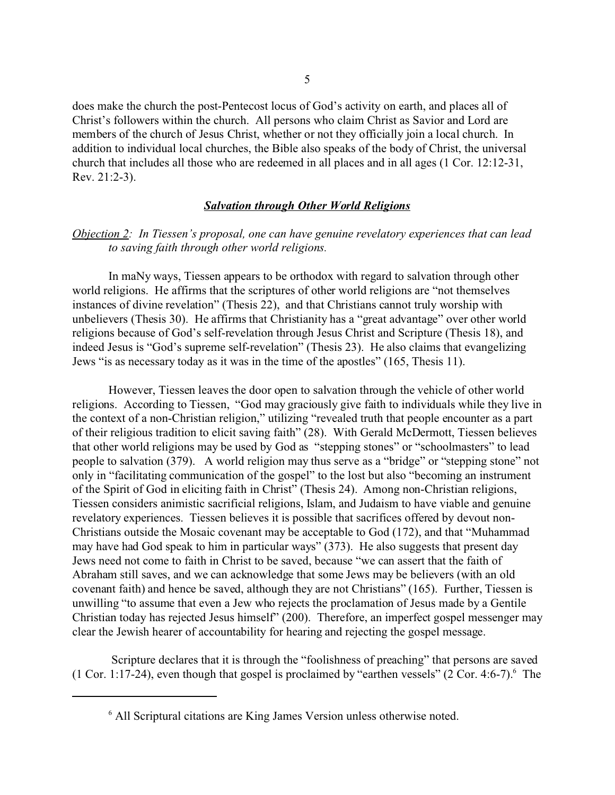does make the church the post-Pentecost locus of God's activity on earth, and places all of Christ's followers within the church. All persons who claim Christ as Savior and Lord are members of the church of Jesus Christ, whether or not they officially join a local church. In addition to individual local churches, the Bible also speaks of the body of Christ, the universal church that includes all those who are redeemed in all places and in all ages (1 Cor. 12:12-31, Rev. 21:2-3).

## *Salvation through Other World Religions*

# *Objection 2: In Tiessen's proposal, one can have genuine revelatory experiences that can lead to saving faith through other world religions.*

In maNy ways, Tiessen appears to be orthodox with regard to salvation through other world religions. He affirms that the scriptures of other world religions are "not themselves instances of divine revelation" (Thesis 22), and that Christians cannot truly worship with unbelievers (Thesis 30). He affirms that Christianity has a "great advantage" over other world religions because of God's self-revelation through Jesus Christ and Scripture (Thesis 18), and indeed Jesus is "God's supreme self-revelation" (Thesis 23). He also claims that evangelizing Jews "is as necessary today as it was in the time of the apostles" (165, Thesis 11).

However, Tiessen leaves the door open to salvation through the vehicle of other world religions. According to Tiessen, "God may graciously give faith to individuals while they live in the context of a non-Christian religion," utilizing "revealed truth that people encounter as a part of their religious tradition to elicit saving faith" (28). With Gerald McDermott, Tiessen believes that other world religions may be used by God as "stepping stones" or "schoolmasters" to lead people to salvation (379). A world religion may thus serve as a "bridge" or "stepping stone" not only in "facilitating communication of the gospel" to the lost but also "becoming an instrument of the Spirit of God in eliciting faith in Christ" (Thesis 24). Among non-Christian religions, Tiessen considers animistic sacrificial religions, Islam, and Judaism to have viable and genuine revelatory experiences. Tiessen believes it is possible that sacrifices offered by devout non-Christians outside the Mosaic covenant may be acceptable to God (172), and that "Muhammad may have had God speak to him in particular ways" (373). He also suggests that present day Jews need not come to faith in Christ to be saved, because "we can assert that the faith of Abraham still saves, and we can acknowledge that some Jews may be believers (with an old covenant faith) and hence be saved, although they are not Christians" (165). Further, Tiessen is unwilling "to assume that even a Jew who rejects the proclamation of Jesus made by a Gentile Christian today has rejected Jesus himself" (200). Therefore, an imperfect gospel messenger may clear the Jewish hearer of accountability for hearing and rejecting the gospel message.

 Scripture declares that it is through the "foolishness of preaching" that persons are saved  $(1$  Cor. 1:17-24), even though that gospel is proclaimed by "earthen vessels"  $(2$  Cor. 4:6-7). The

<sup>6</sup> All Scriptural citations are King James Version unless otherwise noted.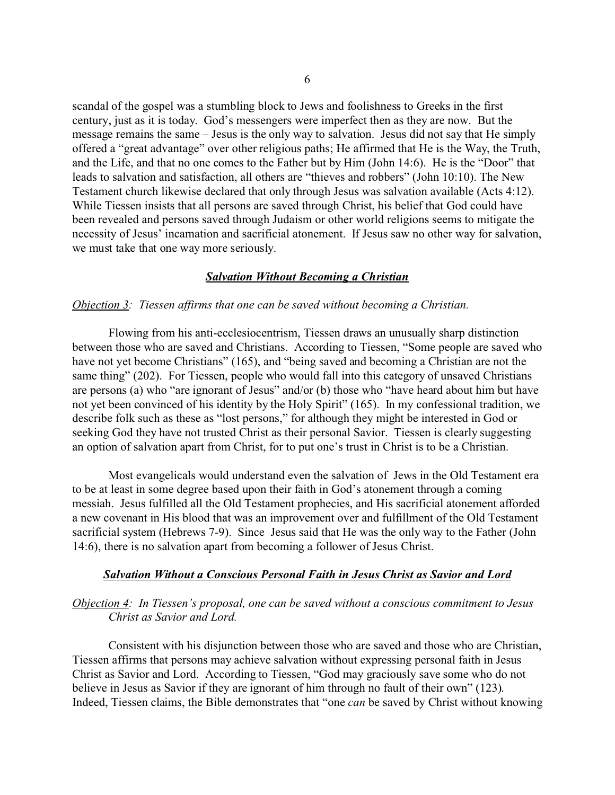scandal of the gospel was a stumbling block to Jews and foolishness to Greeks in the first century, just as it is today. God's messengers were imperfect then as they are now. But the message remains the same – Jesus is the only way to salvation. Jesus did not say that He simply offered a "great advantage" over other religious paths; He affirmed that He is the Way, the Truth, and the Life, and that no one comes to the Father but by Him (John 14:6). He is the "Door" that leads to salvation and satisfaction, all others are "thieves and robbers" (John 10:10). The New Testament church likewise declared that only through Jesus was salvation available (Acts 4:12). While Tiessen insists that all persons are saved through Christ, his belief that God could have been revealed and persons saved through Judaism or other world religions seems to mitigate the necessity of Jesus' incarnation and sacrificial atonement. If Jesus saw no other way for salvation, we must take that one way more seriously.

### *Salvation Without Becoming a Christian*

#### *Objection 3: Tiessen affirms that one can be saved without becoming a Christian.*

Flowing from his anti-ecclesiocentrism, Tiessen draws an unusually sharp distinction between those who are saved and Christians. According to Tiessen, "Some people are saved who have not yet become Christians" (165), and "being saved and becoming a Christian are not the same thing" (202). For Tiessen, people who would fall into this category of unsaved Christians are persons (a) who "are ignorant of Jesus" and/or (b) those who "have heard about him but have not yet been convinced of his identity by the Holy Spirit" (165). In my confessional tradition, we describe folk such as these as "lost persons," for although they might be interested in God or seeking God they have not trusted Christ as their personal Savior. Tiessen is clearly suggesting an option of salvation apart from Christ, for to put one's trust in Christ is to be a Christian.

Most evangelicals would understand even the salvation of Jews in the Old Testament era to be at least in some degree based upon their faith in God's atonement through a coming messiah. Jesus fulfilled all the Old Testament prophecies, and His sacrificial atonement afforded a new covenant in His blood that was an improvement over and fulfillment of the Old Testament sacrificial system (Hebrews 7-9). Since Jesus said that He was the only way to the Father (John 14:6), there is no salvation apart from becoming a follower of Jesus Christ.

#### *Salvation Without a Conscious Personal Faith in Jesus Christ as Savior and Lord*

## *Objection 4: In Tiessen's proposal, one can be saved without a conscious commitment to Jesus Christ as Savior and Lord.*

Consistent with his disjunction between those who are saved and those who are Christian, Tiessen affirms that persons may achieve salvation without expressing personal faith in Jesus Christ as Savior and Lord. According to Tiessen, "God may graciously save some who do not believe in Jesus as Savior if they are ignorant of him through no fault of their own" (123). Indeed, Tiessen claims, the Bible demonstrates that "one *can* be saved by Christ without knowing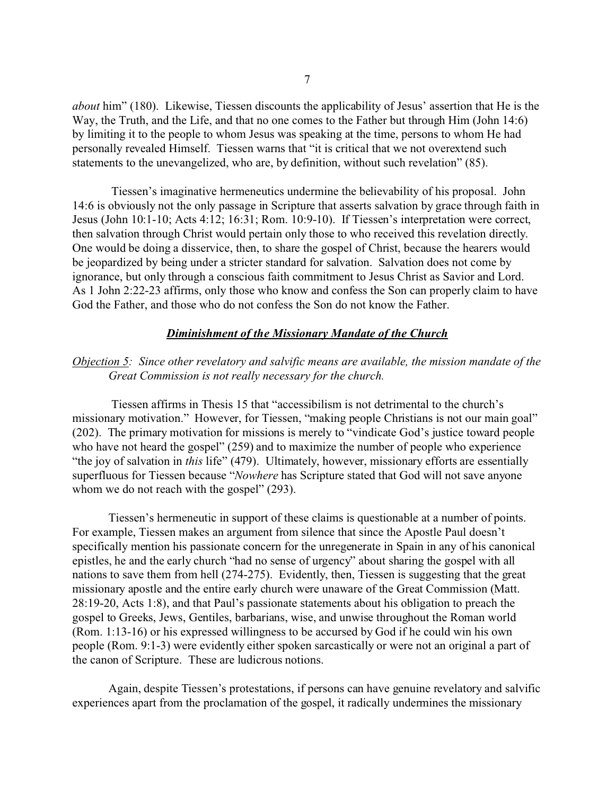*about* him" (180). Likewise, Tiessen discounts the applicability of Jesus' assertion that He is the Way, the Truth, and the Life, and that no one comes to the Father but through Him (John 14:6) by limiting it to the people to whom Jesus was speaking at the time, persons to whom He had personally revealed Himself. Tiessen warns that "it is critical that we not overextend such statements to the unevangelized, who are, by definition, without such revelation" (85).

 Tiessen's imaginative hermeneutics undermine the believability of his proposal. John 14:6 is obviously not the only passage in Scripture that asserts salvation by grace through faith in Jesus (John 10:1-10; Acts 4:12; 16:31; Rom. 10:9-10). If Tiessen's interpretation were correct, then salvation through Christ would pertain only those to who received this revelation directly. One would be doing a disservice, then, to share the gospel of Christ, because the hearers would be jeopardized by being under a stricter standard for salvation. Salvation does not come by ignorance, but only through a conscious faith commitment to Jesus Christ as Savior and Lord. As 1 John 2:22-23 affirms, only those who know and confess the Son can properly claim to have God the Father, and those who do not confess the Son do not know the Father.

## *Diminishment of the Missionary Mandate of the Church*

# *Objection 5: Since other revelatory and salvific means are available, the mission mandate of the Great Commission is not really necessary for the church.*

 Tiessen affirms in Thesis 15 that "accessibilism is not detrimental to the church's missionary motivation." However, for Tiessen, "making people Christians is not our main goal" (202). The primary motivation for missions is merely to "vindicate God's justice toward people who have not heard the gospel" (259) and to maximize the number of people who experience "the joy of salvation in *this* life" (479). Ultimately, however, missionary efforts are essentially superfluous for Tiessen because "*Nowhere* has Scripture stated that God will not save anyone whom we do not reach with the gospel" (293).

Tiessen's hermeneutic in support of these claims is questionable at a number of points. For example, Tiessen makes an argument from silence that since the Apostle Paul doesn't specifically mention his passionate concern for the unregenerate in Spain in any of his canonical epistles, he and the early church "had no sense of urgency" about sharing the gospel with all nations to save them from hell (274-275). Evidently, then, Tiessen is suggesting that the great missionary apostle and the entire early church were unaware of the Great Commission (Matt. 28:19-20, Acts 1:8), and that Paul's passionate statements about his obligation to preach the gospel to Greeks, Jews, Gentiles, barbarians, wise, and unwise throughout the Roman world (Rom. 1:13-16) or his expressed willingness to be accursed by God if he could win his own people (Rom. 9:1-3) were evidently either spoken sarcastically or were not an original a part of the canon of Scripture. These are ludicrous notions.

Again, despite Tiessen's protestations, if persons can have genuine revelatory and salvific experiences apart from the proclamation of the gospel, it radically undermines the missionary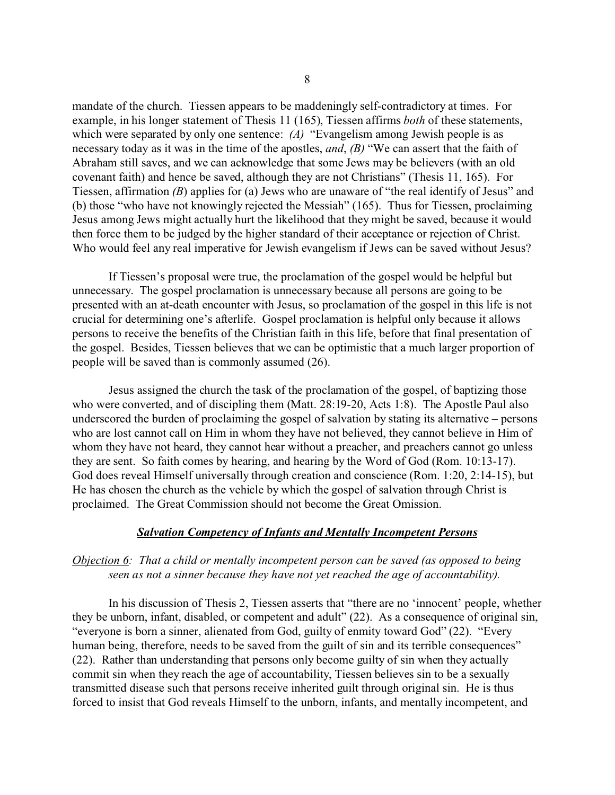mandate of the church. Tiessen appears to be maddeningly self-contradictory at times. For example, in his longer statement of Thesis 11 (165), Tiessen affirms *both* of these statements, which were separated by only one sentence: *(A)* "Evangelism among Jewish people is as necessary today as it was in the time of the apostles, *and*, *(B)* "We can assert that the faith of Abraham still saves, and we can acknowledge that some Jews may be believers (with an old covenant faith) and hence be saved, although they are not Christians" (Thesis 11, 165). For Tiessen, affirmation *(B*) applies for (a) Jews who are unaware of "the real identify of Jesus" and (b) those "who have not knowingly rejected the Messiah" (165). Thus for Tiessen, proclaiming Jesus among Jews might actually hurt the likelihood that they might be saved, because it would then force them to be judged by the higher standard of their acceptance or rejection of Christ. Who would feel any real imperative for Jewish evangelism if Jews can be saved without Jesus?

If Tiessen's proposal were true, the proclamation of the gospel would be helpful but unnecessary. The gospel proclamation is unnecessary because all persons are going to be presented with an at-death encounter with Jesus, so proclamation of the gospel in this life is not crucial for determining one's afterlife. Gospel proclamation is helpful only because it allows persons to receive the benefits of the Christian faith in this life, before that final presentation of the gospel. Besides, Tiessen believes that we can be optimistic that a much larger proportion of people will be saved than is commonly assumed (26).

Jesus assigned the church the task of the proclamation of the gospel, of baptizing those who were converted, and of discipling them (Matt. 28:19-20, Acts 1:8). The Apostle Paul also underscored the burden of proclaiming the gospel of salvation by stating its alternative – persons who are lost cannot call on Him in whom they have not believed, they cannot believe in Him of whom they have not heard, they cannot hear without a preacher, and preachers cannot go unless they are sent. So faith comes by hearing, and hearing by the Word of God (Rom. 10:13-17). God does reveal Himself universally through creation and conscience (Rom. 1:20, 2:14-15), but He has chosen the church as the vehicle by which the gospel of salvation through Christ is proclaimed. The Great Commission should not become the Great Omission.

## *Salvation Competency of Infants and Mentally Incompetent Persons*

# *Objection 6: That a child or mentally incompetent person can be saved (as opposed to being seen as not a sinner because they have not yet reached the age of accountability).*

In his discussion of Thesis 2, Tiessen asserts that "there are no 'innocent' people, whether they be unborn, infant, disabled, or competent and adult" (22). As a consequence of original sin, "everyone is born a sinner, alienated from God, guilty of enmity toward God" (22). "Every human being, therefore, needs to be saved from the guilt of sin and its terrible consequences" (22). Rather than understanding that persons only become guilty of sin when they actually commit sin when they reach the age of accountability, Tiessen believes sin to be a sexually transmitted disease such that persons receive inherited guilt through original sin. He is thus forced to insist that God reveals Himself to the unborn, infants, and mentally incompetent, and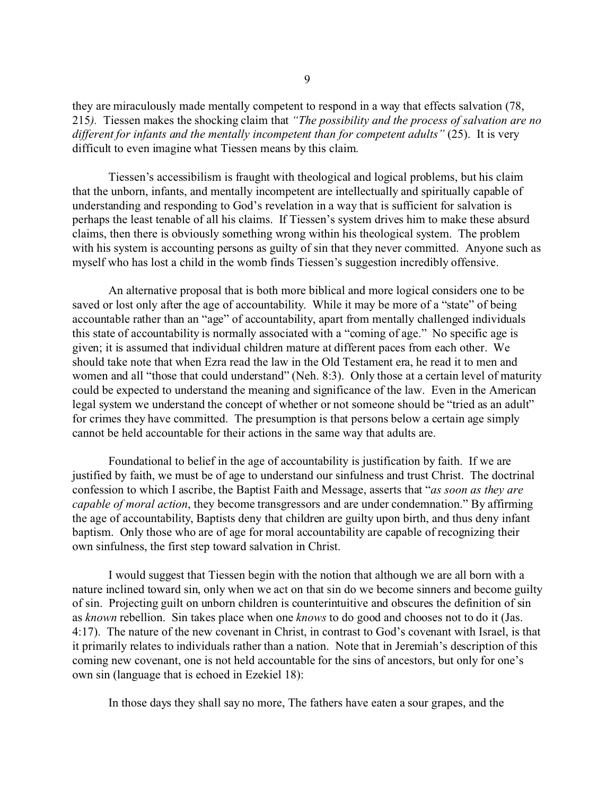they are miraculously made mentally competent to respond in a way that effects salvation (78, 215*).* Tiessen makes the shocking claim that *"The possibility and the process of salvation are no different for infants and the mentally incompetent than for competent adults"* (25). It is very difficult to even imagine what Tiessen means by this claim.

Tiessen's accessibilism is fraught with theological and logical problems, but his claim that the unborn, infants, and mentally incompetent are intellectually and spiritually capable of understanding and responding to God's revelation in a way that is sufficient for salvation is perhaps the least tenable of all his claims. If Tiessen's system drives him to make these absurd claims, then there is obviously something wrong within his theological system. The problem with his system is accounting persons as guilty of sin that they never committed. Anyone such as myself who has lost a child in the womb finds Tiessen's suggestion incredibly offensive.

An alternative proposal that is both more biblical and more logical considers one to be saved or lost only after the age of accountability. While it may be more of a "state" of being accountable rather than an "age" of accountability, apart from mentally challenged individuals this state of accountability is normally associated with a "coming of age." No specific age is given; it is assumed that individual children mature at different paces from each other. We should take note that when Ezra read the law in the Old Testament era, he read it to men and women and all "those that could understand" (Neh. 8:3). Only those at a certain level of maturity could be expected to understand the meaning and significance of the law. Even in the American legal system we understand the concept of whether or not someone should be "tried as an adult" for crimes they have committed. The presumption is that persons below a certain age simply cannot be held accountable for their actions in the same way that adults are.

Foundational to belief in the age of accountability is justification by faith. If we are justified by faith, we must be of age to understand our sinfulness and trust Christ. The doctrinal confession to which I ascribe, the Baptist Faith and Message, asserts that "*as soon as they are capable of moral action*, they become transgressors and are under condemnation." By affirming the age of accountability, Baptists deny that children are guilty upon birth, and thus deny infant baptism. Only those who are of age for moral accountability are capable of recognizing their own sinfulness, the first step toward salvation in Christ.

I would suggest that Tiessen begin with the notion that although we are all born with a nature inclined toward sin, only when we act on that sin do we become sinners and become guilty of sin. Projecting guilt on unborn children is counterintuitive and obscures the definition of sin as *known* rebellion. Sin takes place when one *knows* to do good and chooses not to do it (Jas. 4:17). The nature of the new covenant in Christ, in contrast to God's covenant with Israel, is that it primarily relates to individuals rather than a nation. Note that in Jeremiah's description of this coming new covenant, one is not held accountable for the sins of ancestors, but only for one's own sin (language that is echoed in Ezekiel 18):

In those days they shall say no more, The fathers have eaten a sour grapes, and the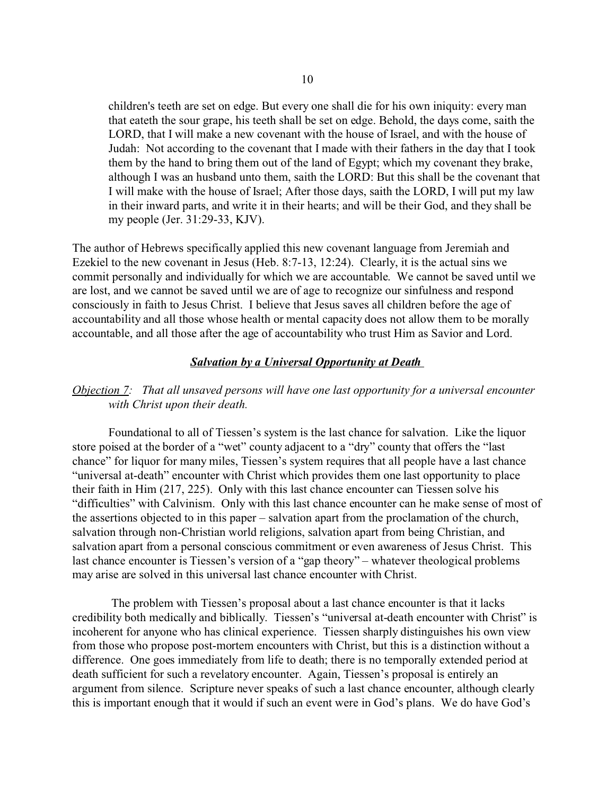children's teeth are set on edge. But every one shall die for his own iniquity: every man that eateth the sour grape, his teeth shall be set on edge. Behold, the days come, saith the LORD, that I will make a new covenant with the house of Israel, and with the house of Judah: Not according to the covenant that I made with their fathers in the day that I took them by the hand to bring them out of the land of Egypt; which my covenant they brake, although I was an husband unto them, saith the LORD: But this shall be the covenant that I will make with the house of Israel; After those days, saith the LORD, I will put my law in their inward parts, and write it in their hearts; and will be their God, and they shall be my people (Jer. 31:29-33, KJV).

The author of Hebrews specifically applied this new covenant language from Jeremiah and Ezekiel to the new covenant in Jesus (Heb. 8:7-13, 12:24). Clearly, it is the actual sins we commit personally and individually for which we are accountable. We cannot be saved until we are lost, and we cannot be saved until we are of age to recognize our sinfulness and respond consciously in faith to Jesus Christ. I believe that Jesus saves all children before the age of accountability and all those whose health or mental capacity does not allow them to be morally accountable, and all those after the age of accountability who trust Him as Savior and Lord.

## *Salvation by a Universal Opportunity at Death*

# *Objection 7: That all unsaved persons will have one last opportunity for a universal encounter with Christ upon their death.*

Foundational to all of Tiessen's system is the last chance for salvation. Like the liquor store poised at the border of a "wet" county adjacent to a "dry" county that offers the "last chance" for liquor for many miles, Tiessen's system requires that all people have a last chance "universal at-death" encounter with Christ which provides them one last opportunity to place their faith in Him (217, 225). Only with this last chance encounter can Tiessen solve his "difficulties" with Calvinism. Only with this last chance encounter can he make sense of most of the assertions objected to in this paper – salvation apart from the proclamation of the church, salvation through non-Christian world religions, salvation apart from being Christian, and salvation apart from a personal conscious commitment or even awareness of Jesus Christ. This last chance encounter is Tiessen's version of a "gap theory" – whatever theological problems may arise are solved in this universal last chance encounter with Christ.

 The problem with Tiessen's proposal about a last chance encounter is that it lacks credibility both medically and biblically. Tiessen's "universal at-death encounter with Christ" is incoherent for anyone who has clinical experience. Tiessen sharply distinguishes his own view from those who propose post-mortem encounters with Christ, but this is a distinction without a difference. One goes immediately from life to death; there is no temporally extended period at death sufficient for such a revelatory encounter. Again, Tiessen's proposal is entirely an argument from silence. Scripture never speaks of such a last chance encounter, although clearly this is important enough that it would if such an event were in God's plans. We do have God's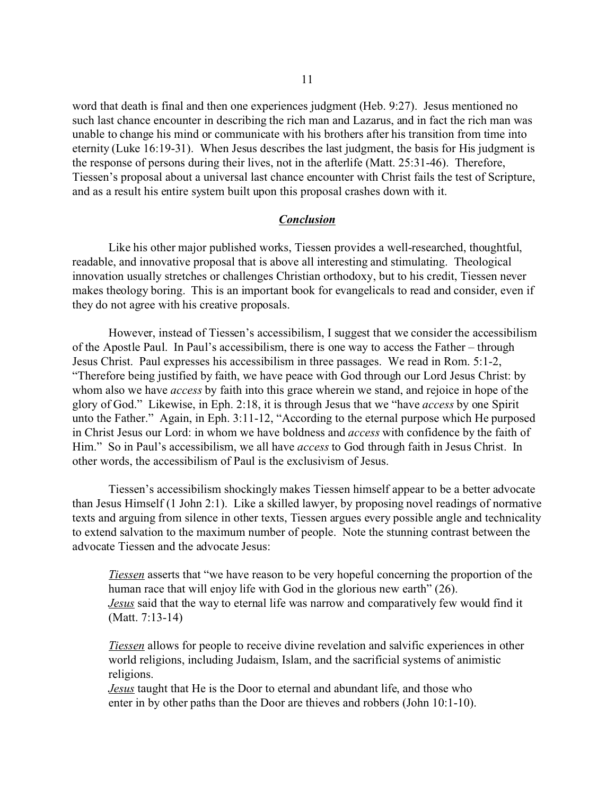word that death is final and then one experiences judgment (Heb. 9:27). Jesus mentioned no such last chance encounter in describing the rich man and Lazarus, and in fact the rich man was unable to change his mind or communicate with his brothers after his transition from time into eternity (Luke 16:19-31). When Jesus describes the last judgment, the basis for His judgment is the response of persons during their lives, not in the afterlife (Matt. 25:31-46). Therefore, Tiessen's proposal about a universal last chance encounter with Christ fails the test of Scripture, and as a result his entire system built upon this proposal crashes down with it.

#### *Conclusion*

Like his other major published works, Tiessen provides a well-researched, thoughtful, readable, and innovative proposal that is above all interesting and stimulating. Theological innovation usually stretches or challenges Christian orthodoxy, but to his credit, Tiessen never makes theology boring. This is an important book for evangelicals to read and consider, even if they do not agree with his creative proposals.

However, instead of Tiessen's accessibilism, I suggest that we consider the accessibilism of the Apostle Paul. In Paul's accessibilism, there is one way to access the Father – through Jesus Christ. Paul expresses his accessibilism in three passages. We read in Rom. 5:1-2, "Therefore being justified by faith, we have peace with God through our Lord Jesus Christ: by whom also we have *access* by faith into this grace wherein we stand, and rejoice in hope of the glory of God." Likewise, in Eph. 2:18, it is through Jesus that we "have *access* by one Spirit unto the Father." Again, in Eph. 3:11-12, "According to the eternal purpose which He purposed in Christ Jesus our Lord: in whom we have boldness and *access* with confidence by the faith of Him." So in Paul's accessibilism, we all have *access* to God through faith in Jesus Christ. In other words, the accessibilism of Paul is the exclusivism of Jesus.

Tiessen's accessibilism shockingly makes Tiessen himself appear to be a better advocate than Jesus Himself (1 John 2:1). Like a skilled lawyer, by proposing novel readings of normative texts and arguing from silence in other texts, Tiessen argues every possible angle and technicality to extend salvation to the maximum number of people. Note the stunning contrast between the advocate Tiessen and the advocate Jesus:

*Tiessen* asserts that "we have reason to be very hopeful concerning the proportion of the human race that will enjoy life with God in the glorious new earth" (26). *Jesus* said that the way to eternal life was narrow and comparatively few would find it (Matt. 7:13-14)

*Tiessen* allows for people to receive divine revelation and salvific experiences in other world religions, including Judaism, Islam, and the sacrificial systems of animistic religions.

*Jesus* taught that He is the Door to eternal and abundant life, and those who enter in by other paths than the Door are thieves and robbers (John 10:1-10).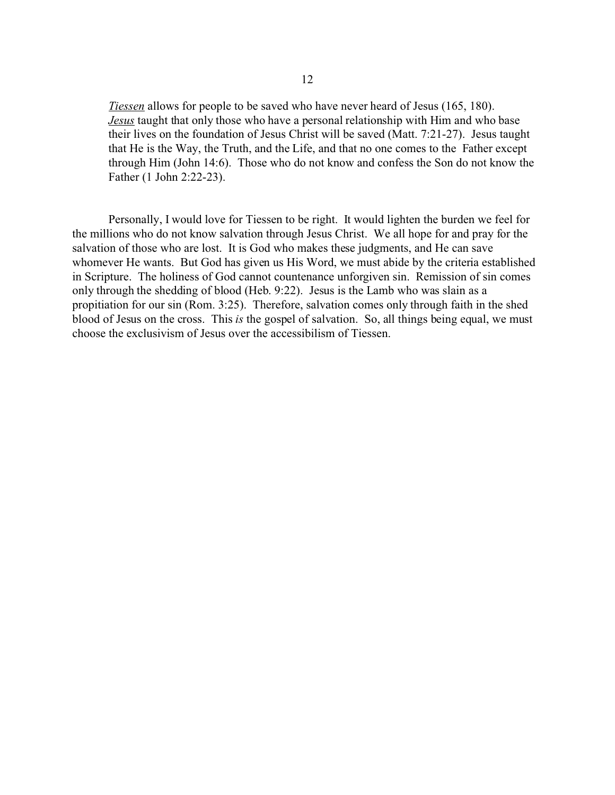*Tiessen* allows for people to be saved who have never heard of Jesus (165, 180). *Jesus* taught that only those who have a personal relationship with Him and who base their lives on the foundation of Jesus Christ will be saved (Matt. 7:21-27). Jesus taught that He is the Way, the Truth, and the Life, and that no one comes to the Father except through Him (John 14:6). Those who do not know and confess the Son do not know the Father (1 John 2:22-23).

Personally, I would love for Tiessen to be right. It would lighten the burden we feel for the millions who do not know salvation through Jesus Christ. We all hope for and pray for the salvation of those who are lost. It is God who makes these judgments, and He can save whomever He wants. But God has given us His Word, we must abide by the criteria established in Scripture. The holiness of God cannot countenance unforgiven sin. Remission of sin comes only through the shedding of blood (Heb. 9:22). Jesus is the Lamb who was slain as a propitiation for our sin (Rom. 3:25). Therefore, salvation comes only through faith in the shed blood of Jesus on the cross. This *is* the gospel of salvation. So, all things being equal, we must choose the exclusivism of Jesus over the accessibilism of Tiessen.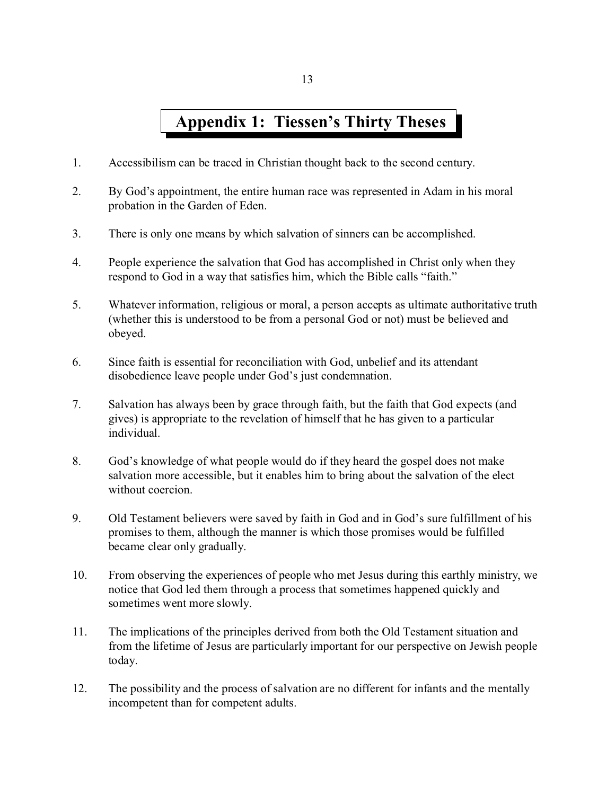# **Appendix 1: Tiessen's Thirty Theses**

- 1. Accessibilism can be traced in Christian thought back to the second century.
- 2. By God's appointment, the entire human race was represented in Adam in his moral probation in the Garden of Eden.
- 3. There is only one means by which salvation of sinners can be accomplished.
- 4. People experience the salvation that God has accomplished in Christ only when they respond to God in a way that satisfies him, which the Bible calls "faith."
- 5. Whatever information, religious or moral, a person accepts as ultimate authoritative truth (whether this is understood to be from a personal God or not) must be believed and obeyed.
- 6. Since faith is essential for reconciliation with God, unbelief and its attendant disobedience leave people under God's just condemnation.
- 7. Salvation has always been by grace through faith, but the faith that God expects (and gives) is appropriate to the revelation of himself that he has given to a particular individual.
- 8. God's knowledge of what people would do if they heard the gospel does not make salvation more accessible, but it enables him to bring about the salvation of the elect without coercion.
- 9. Old Testament believers were saved by faith in God and in God's sure fulfillment of his promises to them, although the manner is which those promises would be fulfilled became clear only gradually.
- 10. From observing the experiences of people who met Jesus during this earthly ministry, we notice that God led them through a process that sometimes happened quickly and sometimes went more slowly.
- 11. The implications of the principles derived from both the Old Testament situation and from the lifetime of Jesus are particularly important for our perspective on Jewish people today.
- 12. The possibility and the process of salvation are no different for infants and the mentally incompetent than for competent adults.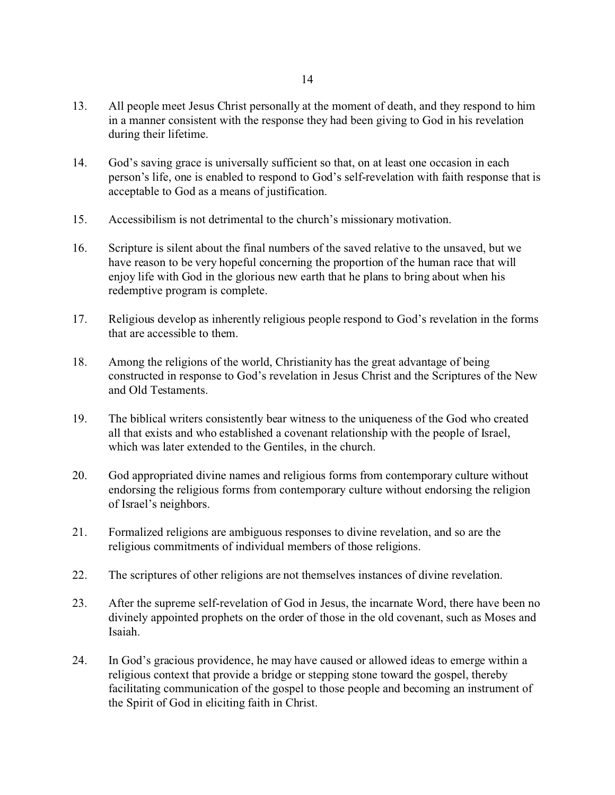- 13. All people meet Jesus Christ personally at the moment of death, and they respond to him in a manner consistent with the response they had been giving to God in his revelation during their lifetime.
- 14. God's saving grace is universally sufficient so that, on at least one occasion in each person's life, one is enabled to respond to God's self-revelation with faith response that is acceptable to God as a means of justification.
- 15. Accessibilism is not detrimental to the church's missionary motivation.
- 16. Scripture is silent about the final numbers of the saved relative to the unsaved, but we have reason to be very hopeful concerning the proportion of the human race that will enjoy life with God in the glorious new earth that he plans to bring about when his redemptive program is complete.
- 17. Religious develop as inherently religious people respond to God's revelation in the forms that are accessible to them.
- 18. Among the religions of the world, Christianity has the great advantage of being constructed in response to God's revelation in Jesus Christ and the Scriptures of the New and Old Testaments.
- 19. The biblical writers consistently bear witness to the uniqueness of the God who created all that exists and who established a covenant relationship with the people of Israel, which was later extended to the Gentiles, in the church.
- 20. God appropriated divine names and religious forms from contemporary culture without endorsing the religious forms from contemporary culture without endorsing the religion of Israel's neighbors.
- 21. Formalized religions are ambiguous responses to divine revelation, and so are the religious commitments of individual members of those religions.
- 22. The scriptures of other religions are not themselves instances of divine revelation.
- 23. After the supreme self-revelation of God in Jesus, the incarnate Word, there have been no divinely appointed prophets on the order of those in the old covenant, such as Moses and Isaiah.
- 24. In God's gracious providence, he may have caused or allowed ideas to emerge within a religious context that provide a bridge or stepping stone toward the gospel, thereby facilitating communication of the gospel to those people and becoming an instrument of the Spirit of God in eliciting faith in Christ.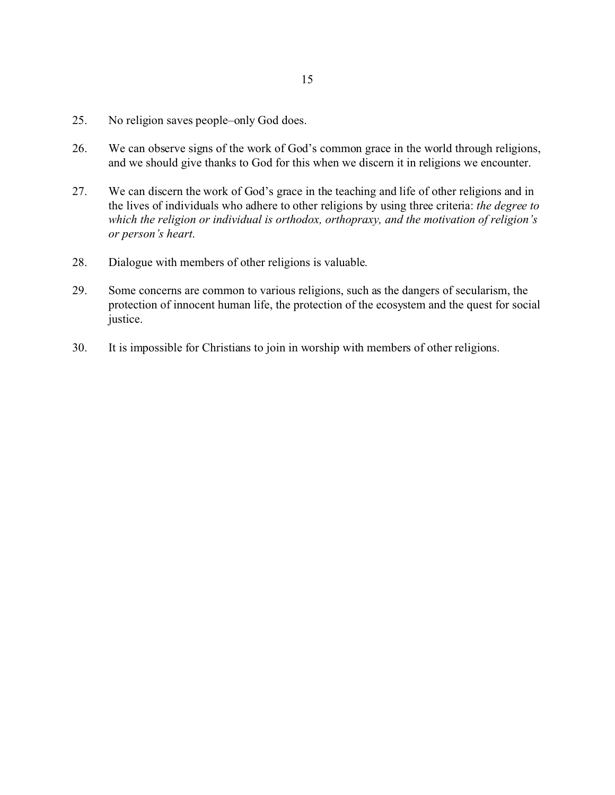- 25. No religion saves people–only God does.
- 26. We can observe signs of the work of God's common grace in the world through religions, and we should give thanks to God for this when we discern it in religions we encounter.
- 27. We can discern the work of God's grace in the teaching and life of other religions and in the lives of individuals who adhere to other religions by using three criteria: *the degree to which the religion or individual is orthodox, orthopraxy, and the motivation of religion's or person's heart*.
- 28. Dialogue with members of other religions is valuable.
- 29. Some concerns are common to various religions, such as the dangers of secularism, the protection of innocent human life, the protection of the ecosystem and the quest for social justice.
- 30. It is impossible for Christians to join in worship with members of other religions.